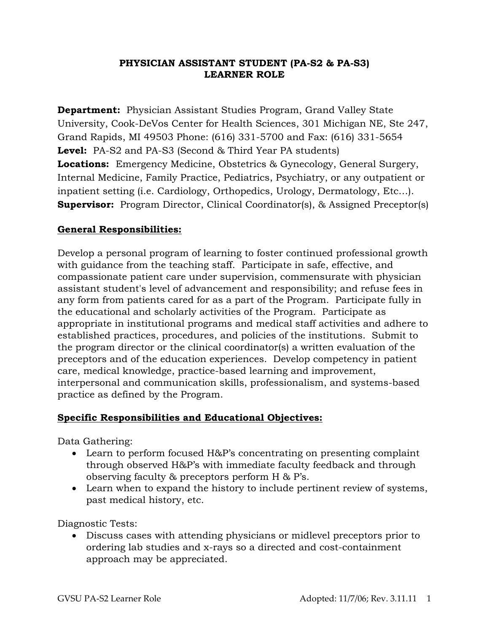## **PHYSICIAN ASSISTANT STUDENT (PA-S2 & PA-S3) LEARNER ROLE**

**Department:** Physician Assistant Studies Program, Grand Valley State University, Cook-DeVos Center for Health Sciences, 301 Michigan NE, Ste 247, Grand Rapids, MI 49503 Phone: (616) 331-5700 and Fax: (616) 331-5654 **Level:** PA-S2 and PA-S3 (Second & Third Year PA students) **Locations:** Emergency Medicine, Obstetrics & Gynecology, General Surgery, Internal Medicine, Family Practice, Pediatrics, Psychiatry, or any outpatient or inpatient setting (i.e. Cardiology, Orthopedics, Urology, Dermatology, Etc…). **Supervisor:** Program Director, Clinical Coordinator(s), & Assigned Preceptor(s)

## **General Responsibilities:**

Develop a personal program of learning to foster continued professional growth with guidance from the teaching staff. Participate in safe, effective, and compassionate patient care under supervision, commensurate with physician assistant student's level of advancement and responsibility; and refuse fees in any form from patients cared for as a part of the Program. Participate fully in the educational and scholarly activities of the Program. Participate as appropriate in institutional programs and medical staff activities and adhere to established practices, procedures, and policies of the institutions. Submit to the program director or the clinical coordinator(s) a written evaluation of the preceptors and of the education experiences. Develop competency in patient care, medical knowledge, practice-based learning and improvement, interpersonal and communication skills, professionalism, and systems-based practice as defined by the Program.

## **Specific Responsibilities and Educational Objectives:**

Data Gathering:

- Learn to perform focused H&P's concentrating on presenting complaint through observed H&P's with immediate faculty feedback and through observing faculty & preceptors perform H & P's.
- Learn when to expand the history to include pertinent review of systems, past medical history, etc.

Diagnostic Tests:

 Discuss cases with attending physicians or midlevel preceptors prior to ordering lab studies and x-rays so a directed and cost-containment approach may be appreciated.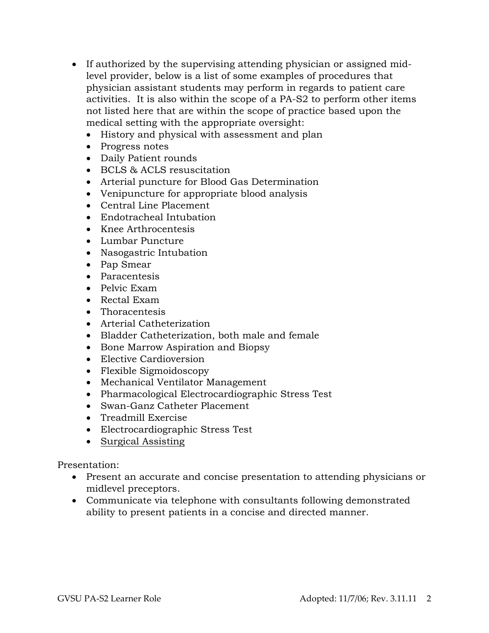- If authorized by the supervising attending physician or assigned midlevel provider, below is a list of some examples of procedures that physician assistant students may perform in regards to patient care activities. It is also within the scope of a PA-S2 to perform other items not listed here that are within the scope of practice based upon the medical setting with the appropriate oversight:
	- History and physical with assessment and plan
	- Progress notes
	- Daily Patient rounds
	- BCLS & ACLS resuscitation
	- Arterial puncture for Blood Gas Determination
	- Venipuncture for appropriate blood analysis
	- Central Line Placement
	- Endotracheal Intubation
	- Knee Arthrocentesis
	- Lumbar Puncture
	- Nasogastric Intubation
	- Pap Smear
	- Paracentesis
	- Pelvic Exam
	- Rectal Exam
	- Thoracentesis
	- Arterial Catheterization
	- Bladder Catheterization, both male and female
	- Bone Marrow Aspiration and Biopsy
	- Elective Cardioversion
	- Flexible Sigmoidoscopy
	- Mechanical Ventilator Management
	- Pharmacological Electrocardiographic Stress Test
	- Swan-Ganz Catheter Placement
	- Treadmill Exercise
	- Electrocardiographic Stress Test
	- Surgical Assisting

Presentation:

- Present an accurate and concise presentation to attending physicians or midlevel preceptors.
- Communicate via telephone with consultants following demonstrated ability to present patients in a concise and directed manner.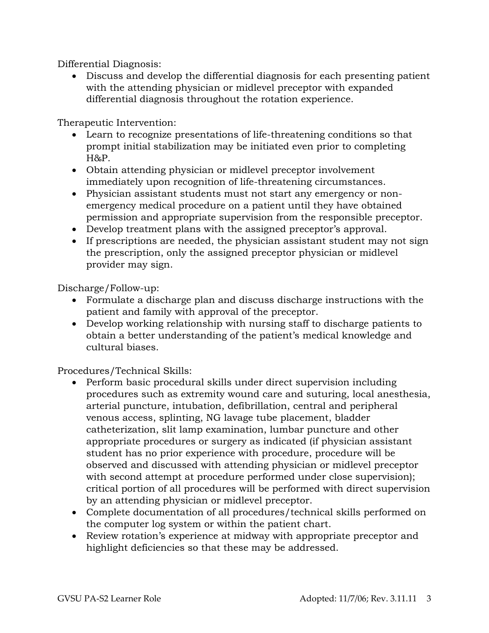Differential Diagnosis:

 Discuss and develop the differential diagnosis for each presenting patient with the attending physician or midlevel preceptor with expanded differential diagnosis throughout the rotation experience.

Therapeutic Intervention:

- Learn to recognize presentations of life-threatening conditions so that prompt initial stabilization may be initiated even prior to completing H&P.
- Obtain attending physician or midlevel preceptor involvement immediately upon recognition of life-threatening circumstances.
- Physician assistant students must not start any emergency or nonemergency medical procedure on a patient until they have obtained permission and appropriate supervision from the responsible preceptor.
- Develop treatment plans with the assigned preceptor's approval.
- If prescriptions are needed, the physician assistant student may not sign the prescription, only the assigned preceptor physician or midlevel provider may sign.

Discharge/Follow-up:

- Formulate a discharge plan and discuss discharge instructions with the patient and family with approval of the preceptor.
- Develop working relationship with nursing staff to discharge patients to obtain a better understanding of the patient's medical knowledge and cultural biases.

Procedures/Technical Skills:

- Perform basic procedural skills under direct supervision including procedures such as extremity wound care and suturing, local anesthesia, arterial puncture, intubation, defibrillation, central and peripheral venous access, splinting, NG lavage tube placement, bladder catheterization, slit lamp examination, lumbar puncture and other appropriate procedures or surgery as indicated (if physician assistant student has no prior experience with procedure, procedure will be observed and discussed with attending physician or midlevel preceptor with second attempt at procedure performed under close supervision); critical portion of all procedures will be performed with direct supervision by an attending physician or midlevel preceptor.
- Complete documentation of all procedures/technical skills performed on the computer log system or within the patient chart.
- Review rotation's experience at midway with appropriate preceptor and highlight deficiencies so that these may be addressed.